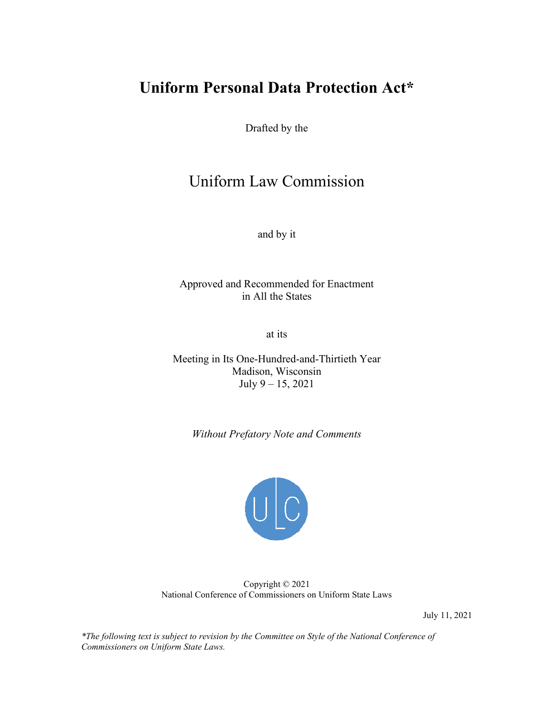# **Uniform Personal Data Protection Act\***

Drafted by the

# Uniform Law Commission<br>and by it<br>Approved and Recommended for Enactment

and by it

in All the States

at its

Meeting in Its One-Hundred-and-Thirtieth Year Madison, Wisconsin July 9 – 15, 2021

 *Without Prefatory Note and Comments* 



Copyright © 2021 National Conference of Commissioners on Uniform State Laws

July 11, 2021

*\*The following text is subject to revision by the Committee on Style of the National Conference of Commissioners on Uniform State Laws.*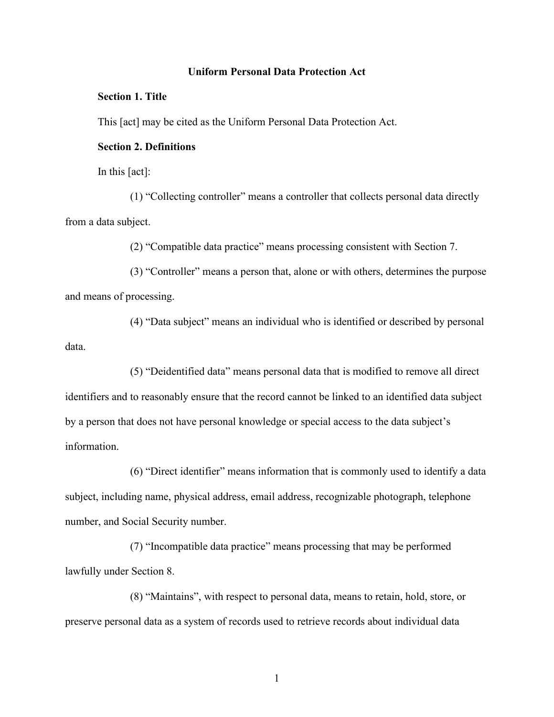#### **Uniform Personal Data Protection Act**

#### **Section 1. Title**

This [act] may be cited as the Uniform Personal Data Protection Act.

#### **Section 2. Definitions**

In this [act]:

(1) "Collecting controller" means a controller that collects personal data directly from a data subject.

(2) "Compatible data practice" means processing consistent with Section 7.

 and means of processing. (3) "Controller" means a person that, alone or with others, determines the purpose

(4) "Data subject" means an individual who is identified or described by personal data.

 identifiers and to reasonably ensure that the record cannot be linked to an identified data subject (5) "Deidentified data" means personal data that is modified to remove all direct by a person that does not have personal knowledge or special access to the data subject's information.

 subject, including name, physical address, email address, recognizable photograph, telephone (6) "Direct identifier" means information that is commonly used to identify a data number, and Social Security number.

(7) "Incompatible data practice" means processing that may be performed lawfully under Section 8.

(8) "Maintains", with respect to personal data, means to retain, hold, store, or preserve personal data as a system of records used to retrieve records about individual data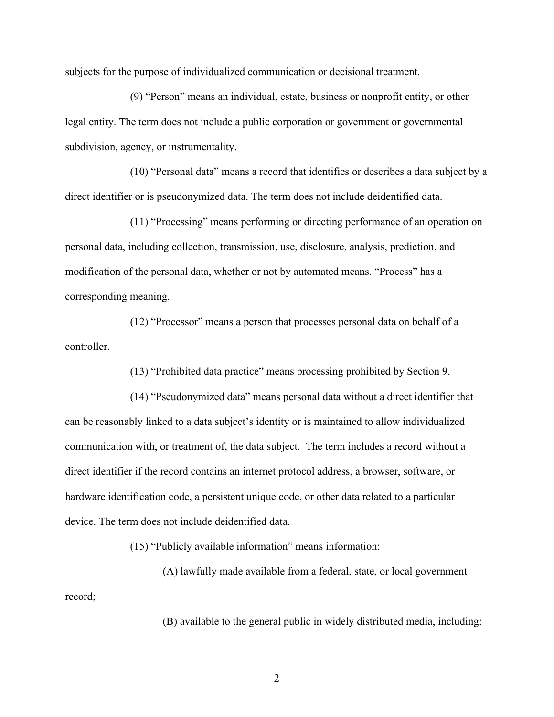subjects for the purpose of individualized communication or decisional treatment.

(9) "Person" means an individual, estate, business or nonprofit entity, or other legal entity. The term does not include a public corporation or government or governmental subdivision, agency, or instrumentality.

(10) "Personal data" means a record that identifies or describes a data subject by a direct identifier or is pseudonymized data. The term does not include deidentified data.

(11) "Processing" means performing or directing performance of an operation on personal data, including collection, transmission, use, disclosure, analysis, prediction, and modification of the personal data, whether or not by automated means. "Process" has a corresponding meaning.

(12) "Processor" means a person that processes personal data on behalf of a controller.

(13) "Prohibited data practice" means processing prohibited by Section 9.

 communication with, or treatment of, the data subject. The term includes a record without a (14) "Pseudonymized data" means personal data without a direct identifier that can be reasonably linked to a data subject's identity or is maintained to allow individualized direct identifier if the record contains an internet protocol address, a browser, software, or hardware identification code, a persistent unique code, or other data related to a particular device. The term does not include deidentified data.

(15) "Publicly available information" means information:

(A) lawfully made available from a federal, state, or local government record;

(B) available to the general public in widely distributed media, including: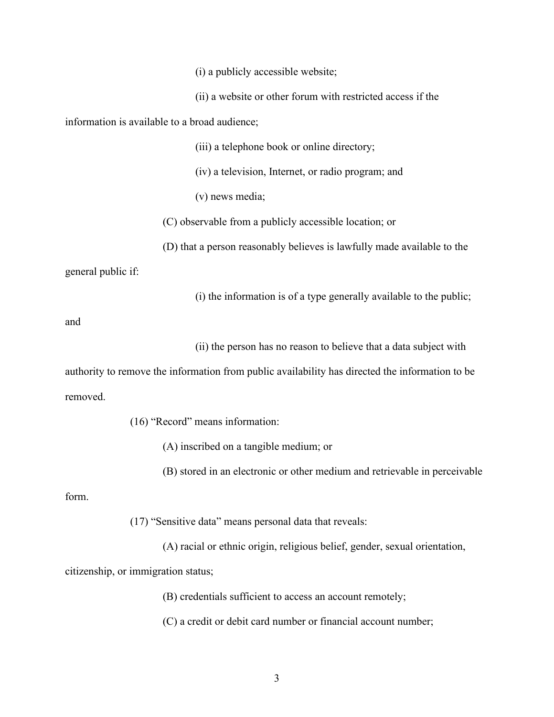(i) a publicly accessible website;

(ii) a website or other forum with restricted access if the

information is available to a broad audience;

(iii) a telephone book or online directory;

(iv) a television, Internet, or radio program; and

(v) news media;

(C) observable from a publicly accessible location; or

(D) that a person reasonably believes is lawfully made available to the

general public if:

(i) the information is of a type generally available to the public;

and

(ii) the person has no reason to believe that a data subject with

authority to remove the information from public availability has directed the information to be removed.

(16) "Record" means information:

(A) inscribed on a tangible medium; or

(B) stored in an electronic or other medium and retrievable in perceivable

form.

(17) "Sensitive data" means personal data that reveals:

(A) racial or ethnic origin, religious belief, gender, sexual orientation,

citizenship, or immigration status;

(B) credentials sufficient to access an account remotely;

(C) a credit or debit card number or financial account number;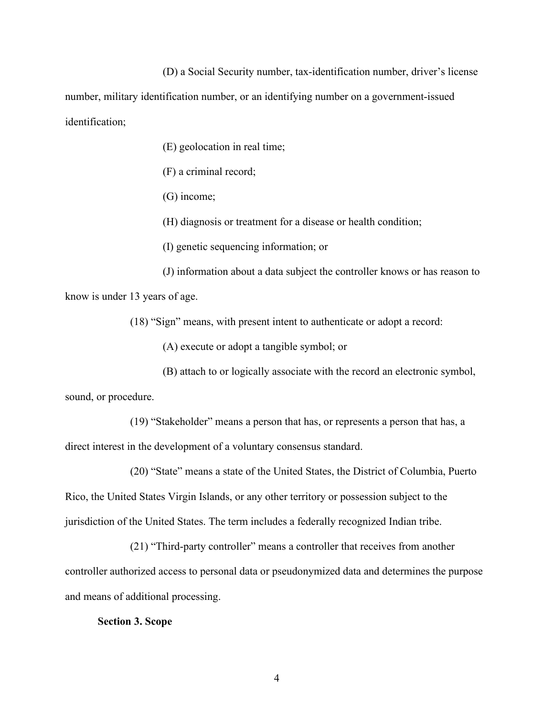(D) a Social Security number, tax-identification number, driver's license

number, military identification number, or an identifying number on a government-issued identification;

(E) geolocation in real time;

(F) a criminal record;

(G) income;

(H) diagnosis or treatment for a disease or health condition;

(I) genetic sequencing information; or

(J) information about a data subject the controller knows or has reason to know is under 13 years of age.

(18) "Sign" means, with present intent to authenticate or adopt a record:

(A) execute or adopt a tangible symbol; or

(B) attach to or logically associate with the record an electronic symbol,

sound, or procedure.

(19) "Stakeholder" means a person that has, or represents a person that has, a direct interest in the development of a voluntary consensus standard.

(20) "State" means a state of the United States, the District of Columbia, Puerto Rico, the United States Virgin Islands, or any other territory or possession subject to the jurisdiction of the United States. The term includes a federally recognized Indian tribe.

(21) "Third-party controller" means a controller that receives from another controller authorized access to personal data or pseudonymized data and determines the purpose and means of additional processing.

#### **Section 3. Scope**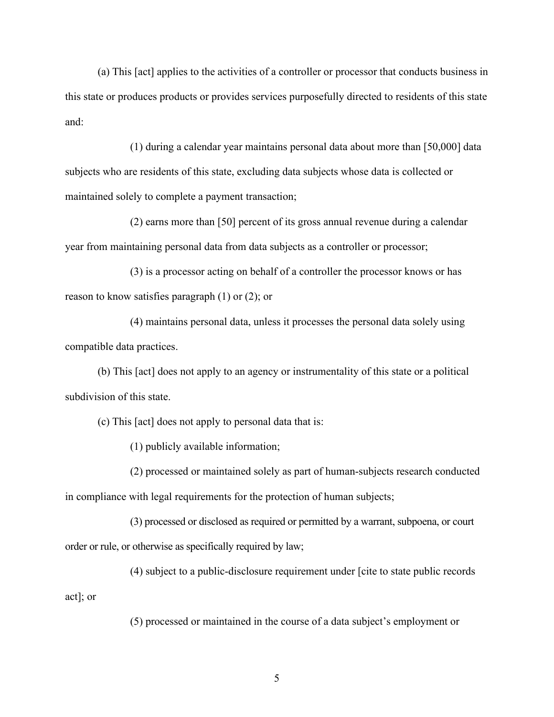(a) This [act] applies to the activities of a controller or processor that conducts business in this state or produces products or provides services purposefully directed to residents of this state and:

 subjects who are residents of this state, excluding data subjects whose data is collected or (1) during a calendar year maintains personal data about more than [50,000] data maintained solely to complete a payment transaction;

(2) earns more than [50] percent of its gross annual revenue during a calendar

year from maintaining personal data from data subjects as a controller or processor;<br>(3) is a processor acting on behalf of a controller the processor knows or has reason to know satisfies paragraph (1) or (2); or

(4) maintains personal data, unless it processes the personal data solely using compatible data practices.

 subdivision of this state. (b) This [act] does not apply to an agency or instrumentality of this state or a political

(c) This [act] does not apply to personal data that is:

(1) publicly available information;

(2) processed or maintained solely as part of human-subjects research conducted in compliance with legal requirements for the protection of human subjects;

order or rule, or otherwise as specifically required by law; (3) processed or disclosed as required or permitted by a warrant, subpoena, or court

 $(4)$  subject to a public-disclosure requirement under [cite to state public records act]; or

(5) processed or maintained in the course of a data subject's employment or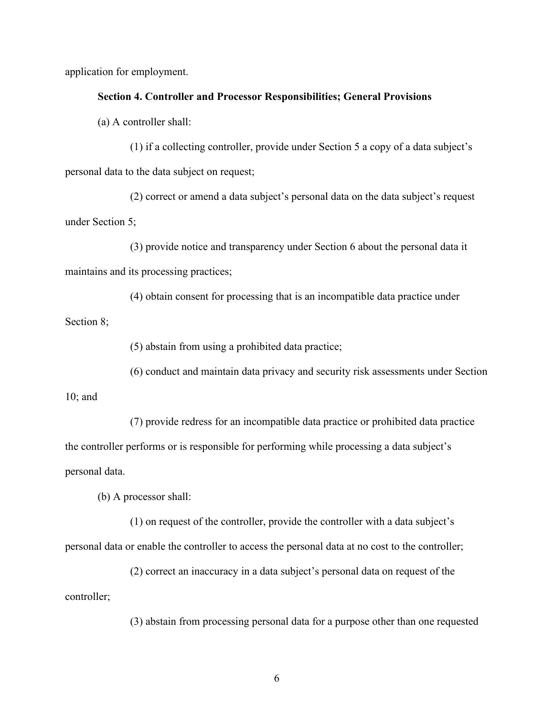application for employment.

# **Section 4. Controller and Processor Responsibilities; General Provisions**

(a) A controller shall:

(1) if a collecting controller, provide under Section 5 a copy of a data subject's personal data to the data subject on request;

under Section 5; (2) correct or amend a data subject's personal data on the data subject's request

 $(3)$  provide notice and transparency under Section 6 about the personal data it maintains and its processing practices;

(4) obtain consent for processing that is an incompatible data practice under

Section 8;

(5) abstain from using a prohibited data practice;

(6) conduct and maintain data privacy and security risk assessments under Section

10; and

(7) provide redress for an incompatible data practice or prohibited data practice the controller performs or is responsible for performing while processing a data subject's personal data.

(b) A processor shall:

(1) on request of the controller, provide the controller with a data subject's

personal data or enable the controller to access the personal data at no cost to the controller;

(2) correct an inaccuracy in a data subject's personal data on request of the controller;

(3) abstain from processing personal data for a purpose other than one requested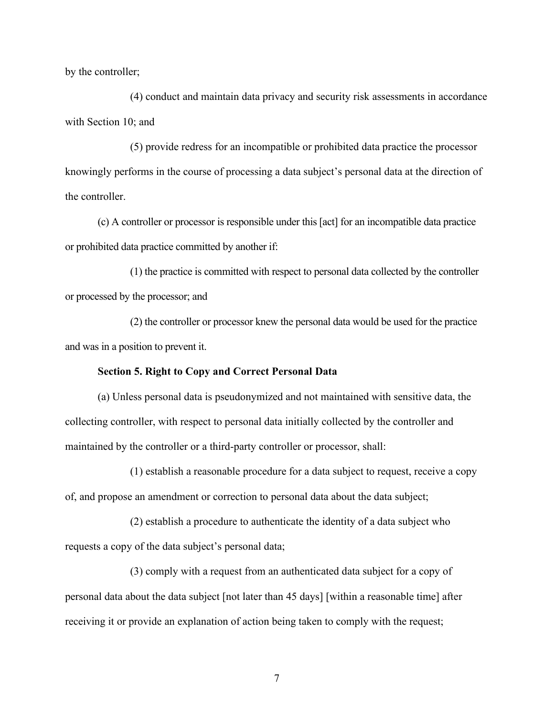by the controller;

(4) conduct and maintain data privacy and security risk assessments in accordance with Section 10; and

(5) provide redress for an incompatible or prohibited data practice the processor knowingly performs in the course of processing a data subject's personal data at the direction of the controller.

 (c) A controller or processor is responsible under this [act] for an incompatible data practice or prohibited data practice committed by another if:

 or processed by the processor; and (1) the practice is committed with respect to personal data collected by the controller

(2) the controller or processor knew the personal data would be used for the practice and was in a position to prevent it.

#### **Section 5. Right to Copy and Correct Personal Data**

(a) Unless personal data is pseudonymized and not maintained with sensitive data, the collecting controller, with respect to personal data initially collected by the controller and maintained by the controller or a third-party controller or processor, shall:

(1) establish a reasonable procedure for a data subject to request, receive a copy of, and propose an amendment or correction to personal data about the data subject;

(2) establish a procedure to authenticate the identity of a data subject who requests a copy of the data subject's personal data;

receiving it or provide an explanation of action being taken to comply with the request;<br> $\frac{7}{1}$ (3) comply with a request from an authenticated data subject for a copy of personal data about the data subject [not later than 45 days] [within a reasonable time] after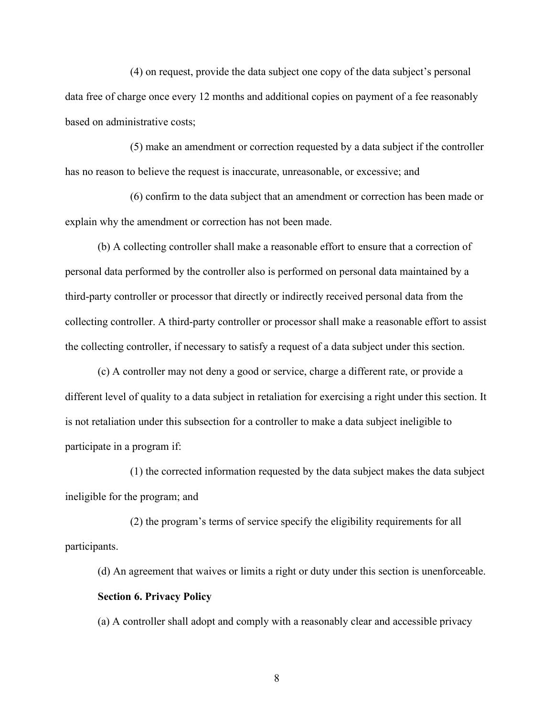data free of charge once every 12 months and additional copies on payment of a fee reasonably (4) on request, provide the data subject one copy of the data subject's personal based on administrative costs;

(5) make an amendment or correction requested by a data subject if the controller has no reason to believe the request is inaccurate, unreasonable, or excessive; and

 explain why the amendment or correction has not been made. (6) confirm to the data subject that an amendment or correction has been made or

(b) A collecting controller shall make a reasonable effort to ensure that a correction of personal data performed by the controller also is performed on personal data maintained by a third-party controller or processor that directly or indirectly received personal data from the collecting controller. A third-party controller or processor shall make a reasonable effort to assist the collecting controller, if necessary to satisfy a request of a data subject under this section.

 (c) A controller may not deny a good or service, charge a different rate, or provide a different level of quality to a data subject in retaliation for exercising a right under this section. It is not retaliation under this subsection for a controller to make a data subject ineligible to participate in a program if:

 (1) the corrected information requested by the data subject makes the data subject ineligible for the program; and

(2) the program's terms of service specify the eligibility requirements for all participants.

(d) An agreement that waives or limits a right or duty under this section is unenforceable. **Section 6. Privacy Policy** 

(a) A controller shall adopt and comply with a reasonably clear and accessible privacy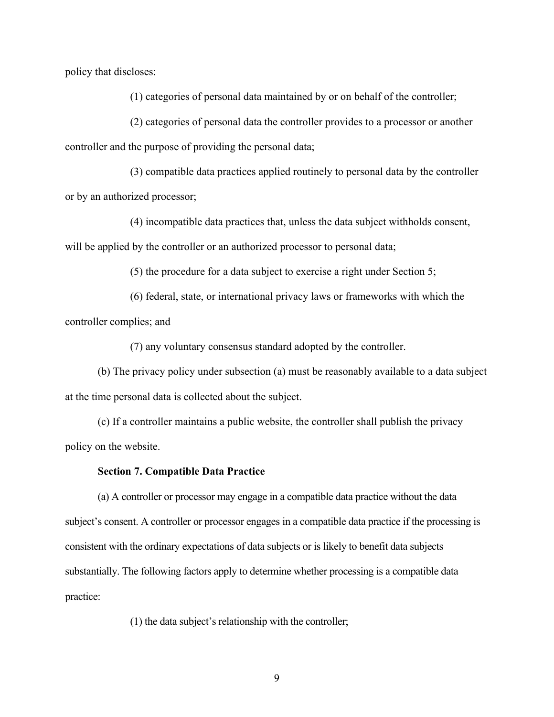policy that discloses:

(1) categories of personal data maintained by or on behalf of the controller;

(2) categories of personal data the controller provides to a processor or another controller and the purpose of providing the personal data;

(3) compatible data practices applied routinely to personal data by the controller or by an authorized processor;

(4) incompatible data practices that, unless the data subject withholds consent, will be applied by the controller or an authorized processor to personal data;

(5) the procedure for a data subject to exercise a right under Section 5;

(6) federal, state, or international privacy laws or frameworks with which the controller complies; and

(7) any voluntary consensus standard adopted by the controller.

(b) The privacy policy under subsection (a) must be reasonably available to a data subject at the time personal data is collected about the subject.

(c) If a controller maintains a public website, the controller shall publish the privacy policy on the website.

#### **Section 7. Compatible Data Practice**

 (a) A controller or processor may engage in a compatible data practice without the data consistent with the ordinary expectations of data subjects or is likely to benefit data subjects substantially. The following factors apply to determine whether processing is a compatible data subject's consent. A controller or processor engages in a compatible data practice if the processing is practice:

(1) the data subject's relationship with the controller;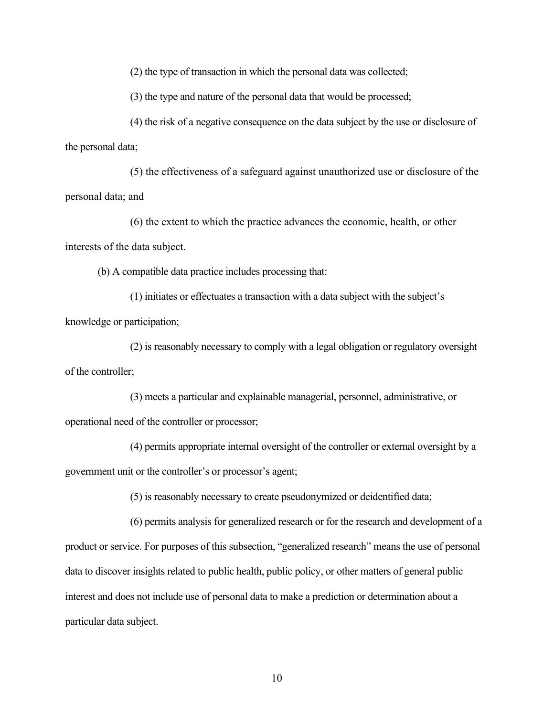(2) the type of transaction in which the personal data was collected;

(3) the type and nature of the personal data that would be processed;

(4) the risk of a negative consequence on the data subject by the use or disclosure of the personal data;

 personal data; and (5) the effectiveness of a safeguard against unauthorized use or disclosure of the

(6) the extent to which the practice advances the economic, health, or other interests of the data subject.

(b) A compatible data practice includes processing that:

(1) initiates or effectuates a transaction with a data subject with the subject's knowledge or participation;

(2) is reasonably necessary to comply with a legal obligation or regulatory oversight of the controller;

(3) meets a particular and explainable managerial, personnel, administrative, or operational need of the controller or processor;

(4) permits appropriate internal oversight of the controller or external oversight by a government unit or the controller's or processor's agent;

(5) is reasonably necessary to create pseudonymized or deidentified data;

(6) permits analysis for generalized research or for the research and development of a product or service. For purposes of this subsection, "generalized research" means the use of personal data to discover insights related to public health, public policy, or other matters of general public interest and does not include use of personal data to make a prediction or determination about a particular data subject.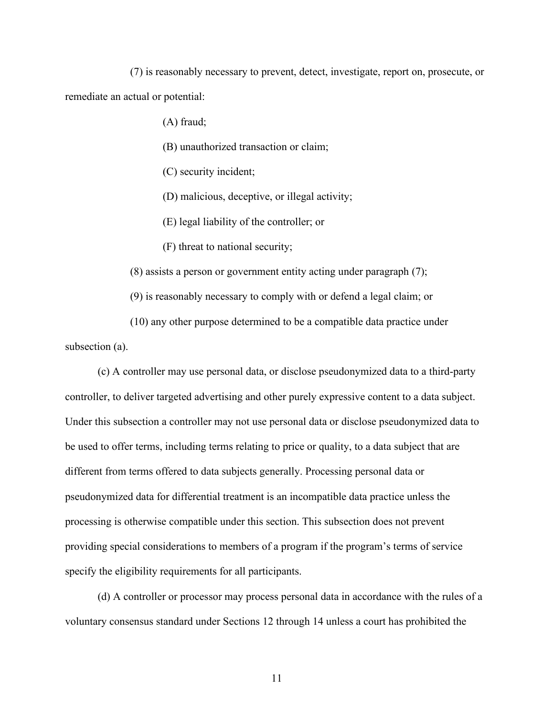(7) is reasonably necessary to prevent, detect, investigate, report on, prosecute, or remediate an actual or potential:

(A) fraud;

(B) unauthorized transaction or claim;

(C) security incident;

(D) malicious, deceptive, or illegal activity;

(E) legal liability of the controller; or

(F) threat to national security;

(8) assists a person or government entity acting under paragraph (7);

(9) is reasonably necessary to comply with or defend a legal claim; or

(10) any other purpose determined to be a compatible data practice under subsection (a).

 pseudonymized data for differential treatment is an incompatible data practice unless the (c) A controller may use personal data, or disclose pseudonymized data to a third-party controller, to deliver targeted advertising and other purely expressive content to a data subject. Under this subsection a controller may not use personal data or disclose pseudonymized data to be used to offer terms, including terms relating to price or quality, to a data subject that are different from terms offered to data subjects generally. Processing personal data or processing is otherwise compatible under this section. This subsection does not prevent providing special considerations to members of a program if the program's terms of service specify the eligibility requirements for all participants.

(d) A controller or processor may process personal data in accordance with the rules of a voluntary consensus standard under Sections 12 through 14 unless a court has prohibited the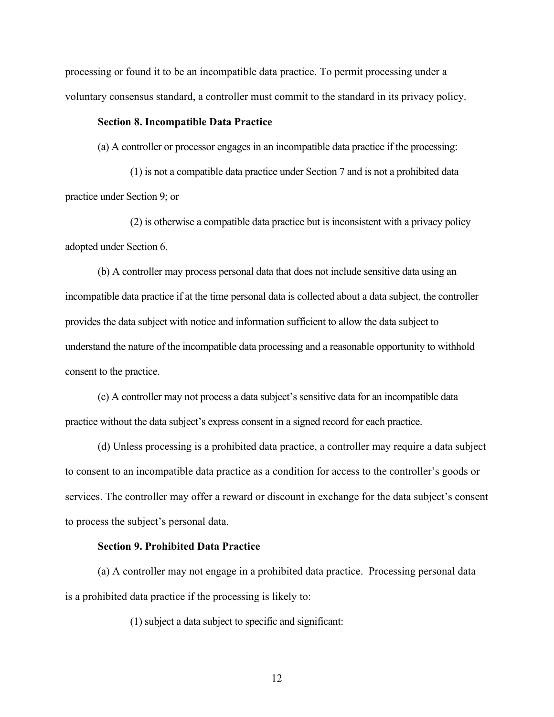processing or found it to be an incompatible data practice. To permit processing under a voluntary consensus standard, a controller must commit to the standard in its privacy policy.

#### **Section 8. Incompatible Data Practice**

(a) A controller or processor engages in an incompatible data practice if the processing:

 (a) A controller or processor engages in an incompatible data practice if the processing: (1) is not a compatible data practice under Section 7 and is not a prohibited data practice under Section 9; or

(2) is otherwise a compatible data practice but is inconsistent with a privacy policy adopted under Section 6.

 (b) A controller may process personal data that does not include sensitive data using an incompatible data practice if at the time personal data is collected about a data subject, the controller provides the data subject with notice and information sufficient to allow the data subject to understand the nature of the incompatible data processing and a reasonable opportunity to withhold consent to the practice.

 (c) A controller may not process a data subject's sensitive data for an incompatible data practice without the data subject's express consent in a signed record for each practice.

 services. The controller may offer a reward or discount in exchange for the data subject's consent (d) Unless processing is a prohibited data practice, a controller may require a data subject to consent to an incompatible data practice as a condition for access to the controller's goods or to process the subject's personal data.

#### **Section 9. Prohibited Data Practice**

 is a prohibited data practice if the processing is likely to: (a) A controller may not engage in a prohibited data practice. Processing personal data

(1) subject a data subject to specific and significant: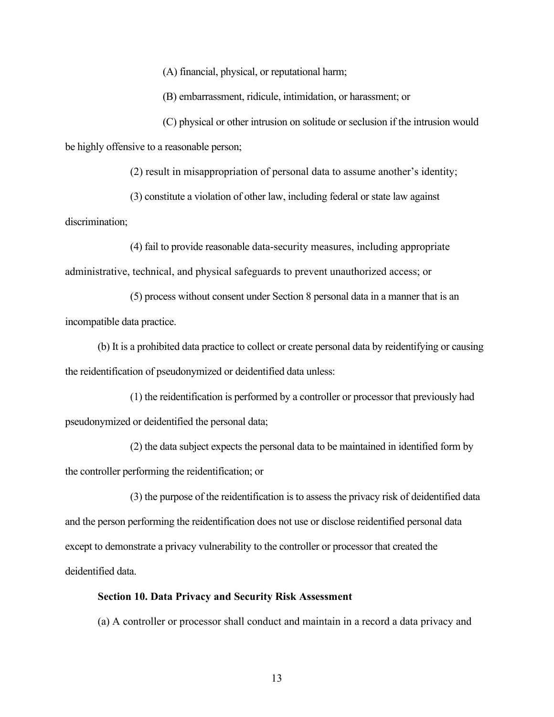(A) financial, physical, or reputational harm;

(B) embarrassment, ridicule, intimidation, or harassment; or

(C) physical or other intrusion on solitude or seclusion if the intrusion would be highly offensive to a reasonable person;

(2) result in misappropriation of personal data to assume another's identity;

(3) constitute a violation of other law, including federal or state law against

discrimination;

 administrative, technical, and physical safeguards to prevent unauthorized access; or (4) fail to provide reasonable data-security measures, including appropriate

(5) process without consent under Section 8 personal data in a manner that is an incompatible data practice.

 (b) It is a prohibited data practice to collect or create personal data by reidentifying or causing the reidentification of pseudonymized or deidentified data unless:

(1) the reidentification is performed by a controller or processor that previously had pseudonymized or deidentified the personal data;

(2) the data subject expects the personal data to be maintained in identified form by the controller performing the reidentification; or

(3) the purpose of the reidentification is to assess the privacy risk of deidentified data and the person performing the reidentification does not use or disclose reidentified personal data except to demonstrate a privacy vulnerability to the controller or processor that created the deidentified data.

#### **Section 10. Data Privacy and Security Risk Assessment**

(a) A controller or processor shall conduct and maintain in a record a data privacy and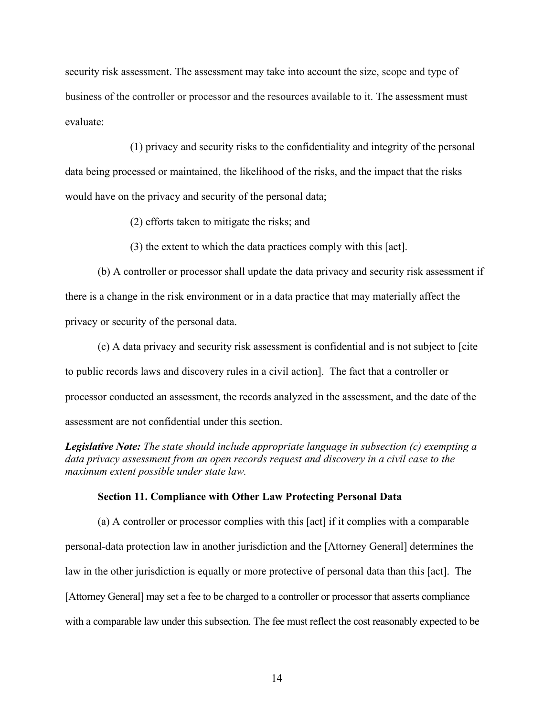security risk assessment. The assessment may take into account the size, scope and type of business of the controller or processor and the resources available to it. The assessment must evaluate:

 data being processed or maintained, the likelihood of the risks, and the impact that the risks (1) privacy and security risks to the confidentiality and integrity of the personal would have on the privacy and security of the personal data;

(2) efforts taken to mitigate the risks; and

(3) the extent to which the data practices comply with this [act].

(b) A controller or processor shall update the data privacy and security risk assessment if there is a change in the risk environment or in a data practice that may materially affect the privacy or security of the personal data.

 to public records laws and discovery rules in a civil action]. The fact that a controller or processor conducted an assessment, the records analyzed in the assessment, and the date of the (c) A data privacy and security risk assessment is confidential and is not subject to [cite assessment are not confidential under this section.

*Legislative Note: The state should include appropriate language in subsection (c) exempting a data privacy assessment from an open records request and discovery in a civil case to the maximum extent possible under state law.* 

#### **Section 11. Compliance with Other Law Protecting Personal Data**

 law in the other jurisdiction is equally or more protective of personal data than this [act]. The (a) A controller or processor complies with this [act] if it complies with a comparable personal-data protection law in another jurisdiction and the [Attorney General] determines the [Attorney General] may set a fee to be charged to a controller or processor that asserts compliance with a comparable law under this subsection. The fee must reflect the cost reasonably expected to be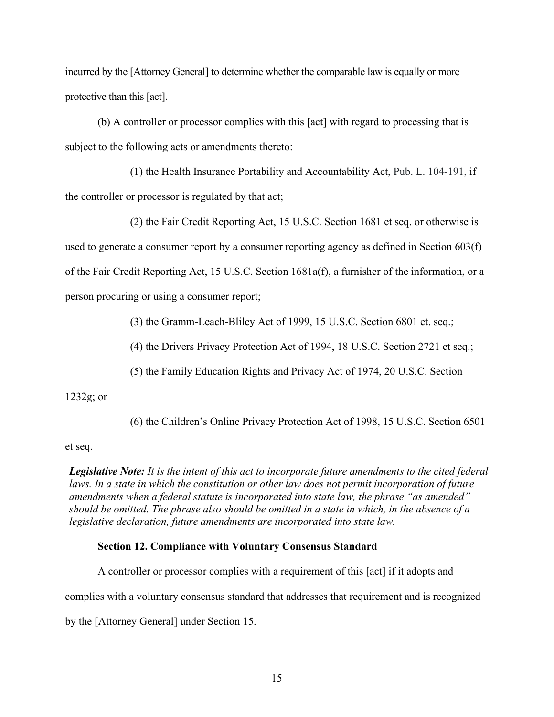incurred by the [Attorney General] to determine whether the comparable law is equally or more protective than this [act].

subject to the following acts or amendments thereto: (b) A controller or processor complies with this [act] with regard to processing that is

 $(1)$  the Health Insurance Portability and Accountability Act, Pub. L. 104-191, if the controller or processor is regulated by that act;

 person procuring or using a consumer report; (2) the Fair Credit Reporting Act, 15 U.S.C. Section 1681 et seq. or otherwise is used to generate a consumer report by a consumer reporting agency as defined in Section 603(f) of the Fair Credit Reporting Act, 15 U.S.C. Section 1681a(f), a furnisher of the information, or a

(3) the Gramm-Leach-Bliley Act of 1999, 15 U.S.C. Section 6801 et. seq.;

(4) the Drivers Privacy Protection Act of 1994, 18 U.S.C. Section 2721 et seq.;

(5) the Family Education Rights and Privacy Act of 1974, 20 U.S.C. Section

#### 1232g; or

(6) the Children's Online Privacy Protection Act of 1998, 15 U.S.C. Section 6501

#### et seq.

*Legislative Note: It is the intent of this act to incorporate future amendments to the cited federal laws. In a state in which the constitution or other law does not permit incorporation of future amendments when a federal statute is incorporated into state law, the phrase "as amended" should be omitted. The phrase also should be omitted in a state in which, in the absence of a legislative declaration, future amendments are incorporated into state law.* 

#### **Section 12. Compliance with Voluntary Consensus Standard**

 complies with a voluntary consensus standard that addresses that requirement and is recognized A controller or processor complies with a requirement of this [act] if it adopts and by the [Attorney General] under Section 15.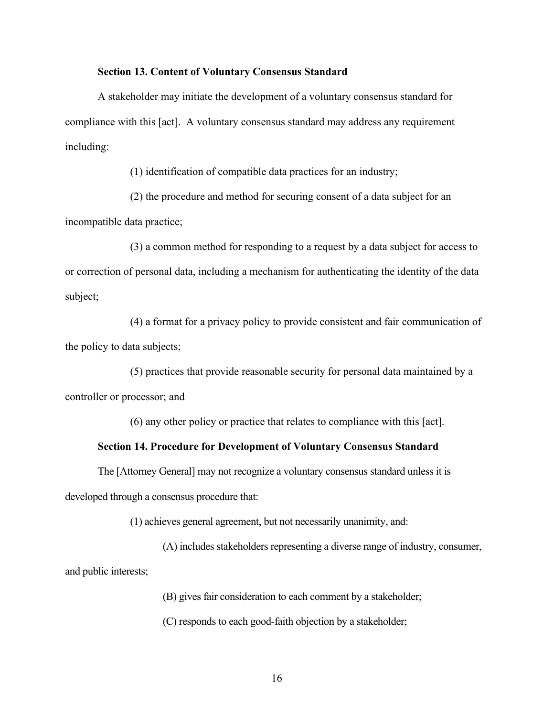#### **Section 13. Content of Voluntary Consensus Standard**

A stakeholder may initiate the development of a voluntary consensus standard for compliance with this [act]. A voluntary consensus standard may address any requirement including:

(1) identification of compatible data practices for an industry;

(2) the procedure and method for securing consent of a data subject for an incompatible data practice;

(3) a common method for responding to a request by a data subject for access to or correction of personal data, including a mechanism for authenticating the identity of the data subject;

(4) a format for a privacy policy to provide consistent and fair communication of the policy to data subjects;

(5) practices that provide reasonable security for personal data maintained by a controller or processor; and

(6) any other policy or practice that relates to compliance with this [act].

#### **Section 14. Procedure for Development of Voluntary Consensus Standard**

 developed through a consensus procedure that: The [Attorney General] may not recognize a voluntary consensus standard unless it is

(1) achieves general agreement, but not necessarily unanimity, and:

(A) includes stakeholders representing a diverse range of industry, consumer, and public interests;

(B) gives fair consideration to each comment by a stakeholder;

(C) responds to each good-faith objection by a stakeholder;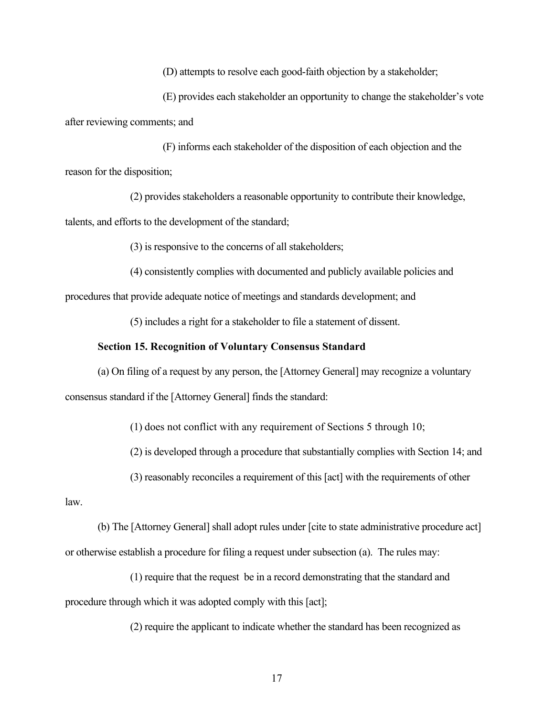(D) attempts to resolve each good-faith objection by a stakeholder;

(E) provides each stakeholder an opportunity to change the stakeholder's vote after reviewing comments; and

(F) informs each stakeholder of the disposition of each objection and the reason for the disposition;

(2) provides stakeholders a reasonable opportunity to contribute their knowledge, talents, and efforts to the development of the standard;

(3) is responsive to the concerns of all stakeholders;

(4) consistently complies with documented and publicly available policies and

procedures that provide adequate notice of meetings and standards development; and

(5) includes a right for a stakeholder to file a statement of dissent.

#### **Section 15. Recognition of Voluntary Consensus Standard**

(a) On filing of a request by any person, the [Attorney General] may recognize a voluntary consensus standard if the [Attorney General] finds the standard:

(1) does not conflict with any requirement of Sections 5 through 10;

(2) is developed through a procedure that substantially complies with Section 14; and

(3) reasonably reconciles a requirement of this [act] with the requirements of other

law.

(b) The [Attorney General] shall adopt rules under [cite to state administrative procedure act]

or otherwise establish a procedure for filing a request under subsection (a). The rules may:

 (1) require that the request be in a record demonstrating that the standard and procedure through which it was adopted comply with this [act];

(2) require the applicant to indicate whether the standard has been recognized as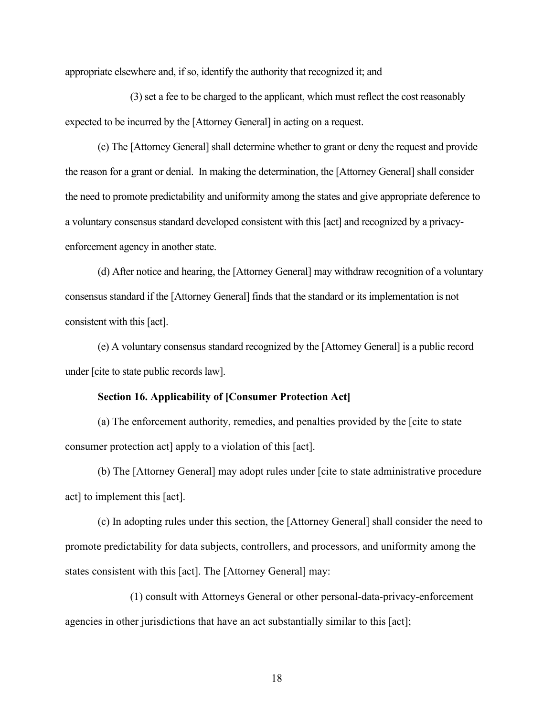appropriate elsewhere and, if so, identify the authority that recognized it; and

(3) set a fee to be charged to the applicant, which must reflect the cost reasonably expected to be incurred by the [Attorney General] in acting on a request.

(c) The [Attorney General] shall determine whether to grant or deny the request and provide the reason for a grant or denial. In making the determination, the [Attorney General] shall consider the need to promote predictability and uniformity among the states and give appropriate deference to a voluntary consensus standard developed consistent with this [act] and recognized by a privacyenforcement agency in another state.

consistent with this [act]. (d) After notice and hearing, the [Attorney General] may withdraw recognition of a voluntary consensus standard if the [Attorney General] finds that the standard or its implementation is not

(e) A voluntary consensus standard recognized by the [Attorney General] is a public record under [cite to state public records law].

#### **Section 16. Applicability of [Consumer Protection Act]**

 (a) The enforcement authority, remedies, and penalties provided by the [cite to state consumer protection act] apply to a violation of this [act].

(b) The [Attorney General] may adopt rules under [cite to state administrative procedure act] to implement this [act].

(c) In adopting rules under this section, the [Attorney General] shall consider the need to promote predictability for data subjects, controllers, and processors, and uniformity among the states consistent with this [act]. The [Attorney General] may:

(1) consult with Attorneys General or other personal-data-privacy-enforcement agencies in other jurisdictions that have an act substantially similar to this [act];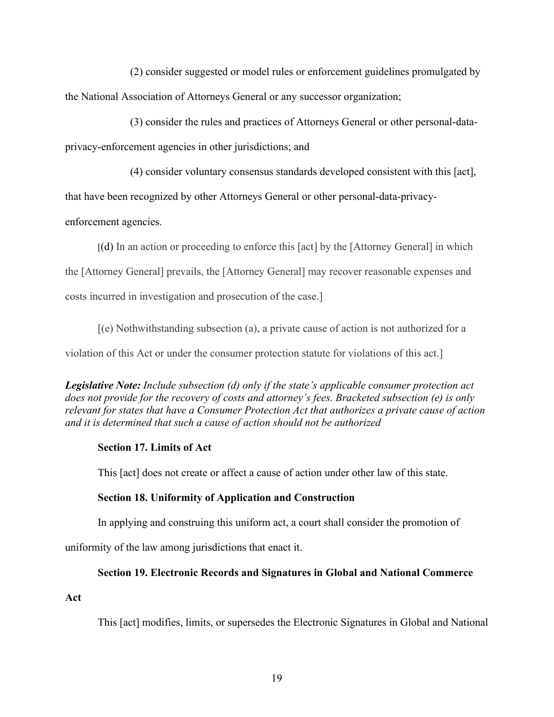the National Association of Attorneys General or any successor organization; (2) consider suggested or model rules or enforcement guidelines promulgated by

 $(3)$  consider the rules and practices of Attorneys General or other personal-dataprivacy-enforcement agencies in other jurisdictions; and

(4) consider voluntary consensus standards developed consistent with this [act],

that have been recognized by other Attorneys General or other personal-data-privacy-

enforcement agencies.

[(d) In an action or proceeding to enforce this [act] by the [Attorney General] in which

the [Attorney General] prevails, the [Attorney General] may recover reasonable expenses and

costs incurred in investigation and prosecution of the case.]

costs incurred in investigation and prosecution of the case.] [(e) Nothwithstanding subsection (a), a private cause of action is not authorized for a

violation of this Act or under the consumer protection statute for violations of this act.]

*Legislative Note: Include subsection (d) only if the state's applicable consumer protection act does not provide for the recovery of costs and attorney's fees. Bracketed subsection (e) is only relevant for states that have a Consumer Protection Act that authorizes a private cause of action and it is determined that such a cause of action should not be authorized* 

### **Section 17. Limits of Act**

This [act] does not create or affect a cause of action under other law of this state.

# **Section 18. Uniformity of Application and Construction**

In applying and construing this uniform act, a court shall consider the promotion of

uniformity of the law among jurisdictions that enact it.

# **Section 19. Electronic Records and Signatures in Global and National Commerce**

**Act** 

This [act] modifies, limits, or supersedes the Electronic Signatures in Global and National